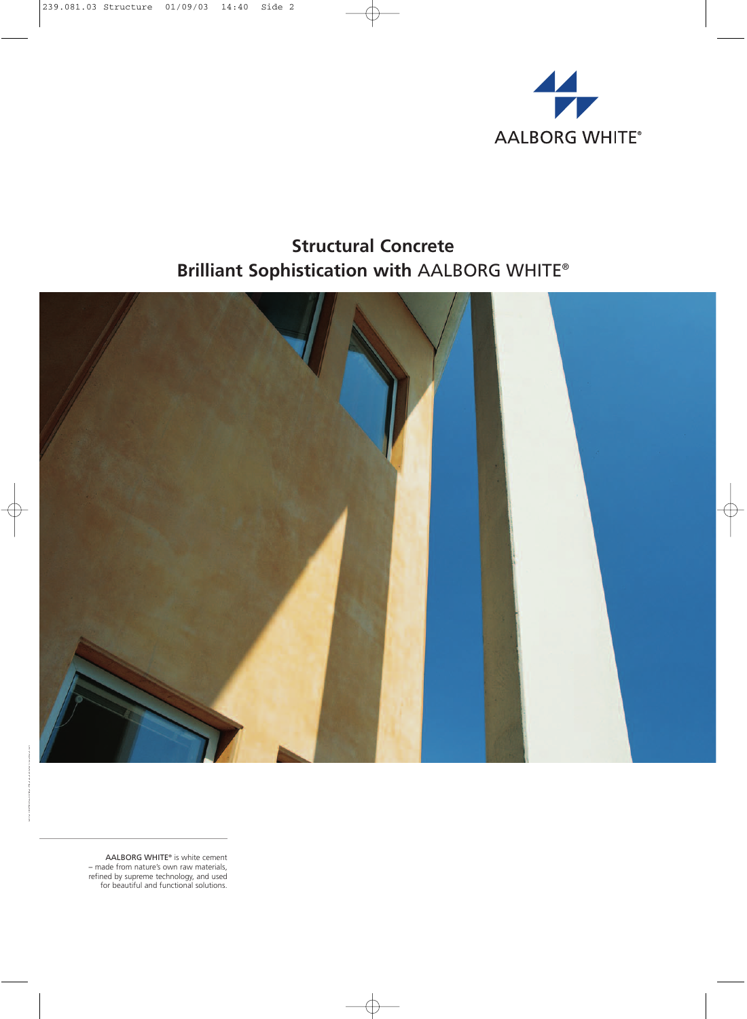

# **Structural Concrete Brilliant Sophistication with** AALBORG WHITE®



AALBORG WHITE® is white cement – made from nature's own raw materials, refined by supreme technology, and used for beautiful and functional solutions.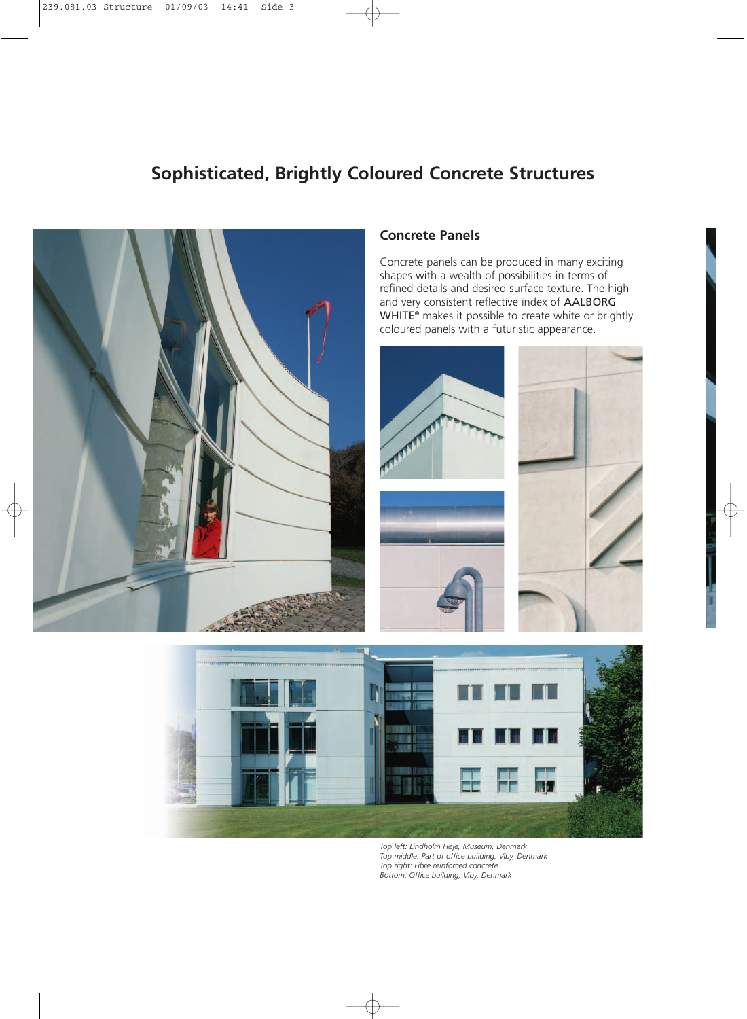# **Sophisticated, Brightly Coloured Concrete Structures**



#### **Concrete Panels**

Concrete panels can be produced in many exciting shapes with a wealth of possibilities in terms of refined details and desired surface texture. The high and very consistent reflective index of AALBORG WHITE<sup>®</sup> makes it possible to create white or brightly coloured panels with a futuristic appearance.









*Top left: Lindholm Høje, Museum, Denmark Top middle: Part of office building, Viby, Denmark Top right: Fibre reinforced concrete Bottom: Office building, Viby, Denmark*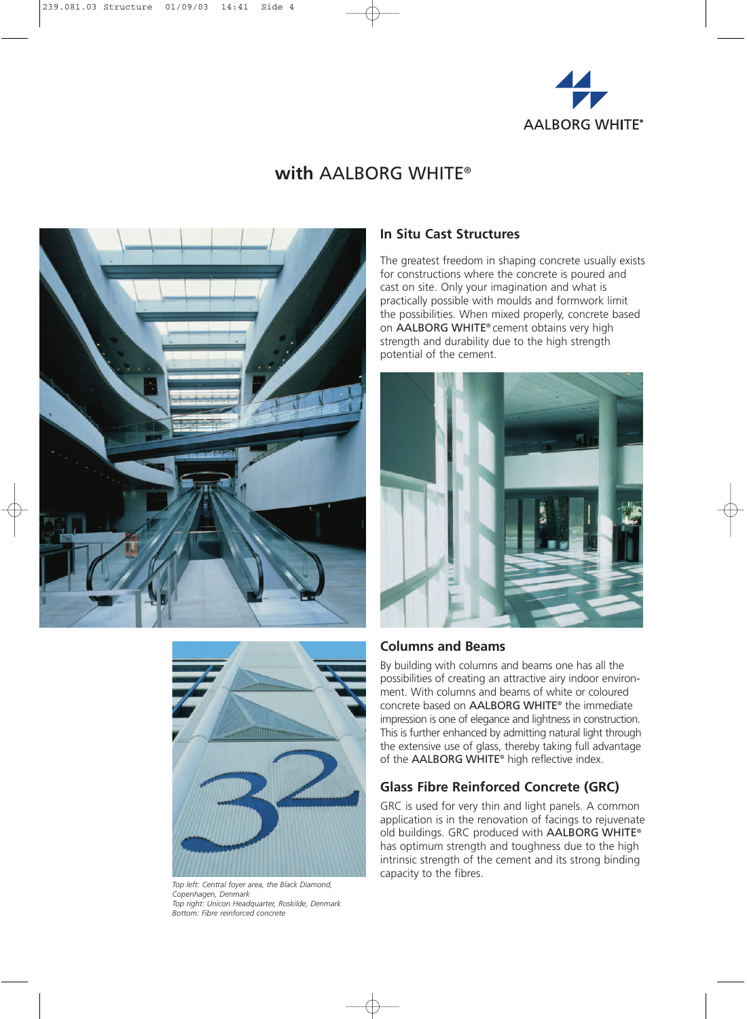

## **with** AALBORG WHITE®





*Top left: Central foyer area, the Black Diamond, Copenhagen, Denmark Top right: Unicon Headquarter, Roskilde, Denmark Bottom: Fibre reinforced concrete*

#### **In Situ Cast Structures**

The greatest freedom in shaping concrete usually exists for constructions where the concrete is poured and cast on site. Only your imagination and what is practically possible with moulds and formwork limit the possibilities. When mixed properly, concrete based on AALBORG WHITE® cement obtains very high strength and durability due to the high strength potential of the cement.



#### **Columns and Beams**

By building with columns and beams one has all the possibilities of creating an attractive airy indoor environment. With columns and beams of white or coloured concrete based on AALBORG WHITE® the immediate impression is one of elegance and lightness in construction. This is further enhanced by admitting natural light through the extensive use of glass, thereby taking full advantage of the AALBORG WHITE® high reflective index.

#### **Glass Fibre Reinforced Concrete (GRC)**

GRC is used for very thin and light panels. A common application is in the renovation of facings to rejuvenate old buildings. GRC produced with AALBORG WHITE® has optimum strength and toughness due to the high intrinsic strength of the cement and its strong binding capacity to the fibres.